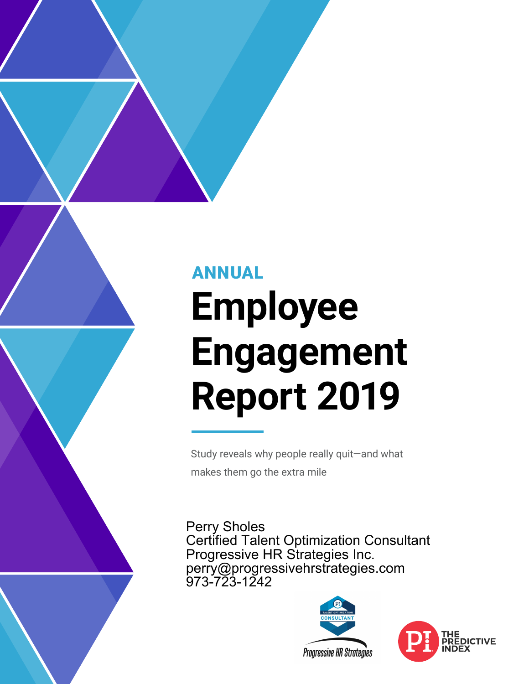## **Employee Engagement Report 2019** ANNUAL

Study reveals why people really quit—and what makes them go the extra mile

Perry Sholes Certified Talent Optimization Consultant Progressive HR Strategies Inc. perry@progressivehrstrategies.com 973-723-1242



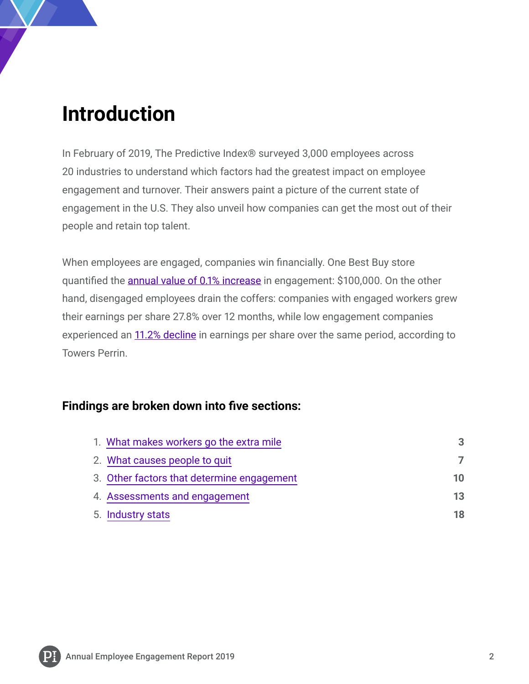### **Introduction**

In February of 2019, The Predictive Index® surveyed 3,000 employees across 20 industries to understand which factors had the greatest impact on employee engagement and turnover. Their answers paint a picture of the current state of engagement in the U.S. They also unveil how companies can get the most out of their people and retain top talent.

When employees are engaged, companies win financially. One Best Buy store quantified the **[annual value of 0.1% increase](https://hbr.org/2010/10/competing-on-talent-analytics)** in engagement: \$100,000. On the other hand, disengaged employees drain the coffers: companies with engaged workers grew their earnings per share 27.8% over 12 months, while low engagement companies experienced an [11.2% decline](https://c.ymcdn.com/sites/simnet.site-ym.com/resource/group/066D79D1-E2A8-4AB5-B621-60E58640FF7B/leadership_workshop_2010/towers_perrin_global_workfor.pdf) in earnings per share over the same period, according to Towers Perrin.

#### **Findings are broken down into five sections:**

| 1. What makes workers go the extra mile    | 3  |
|--------------------------------------------|----|
| 2. What causes people to quit              |    |
| 3. Other factors that determine engagement | 10 |
| 4. Assessments and engagement              | 13 |
| 5. Industry stats                          | 18 |

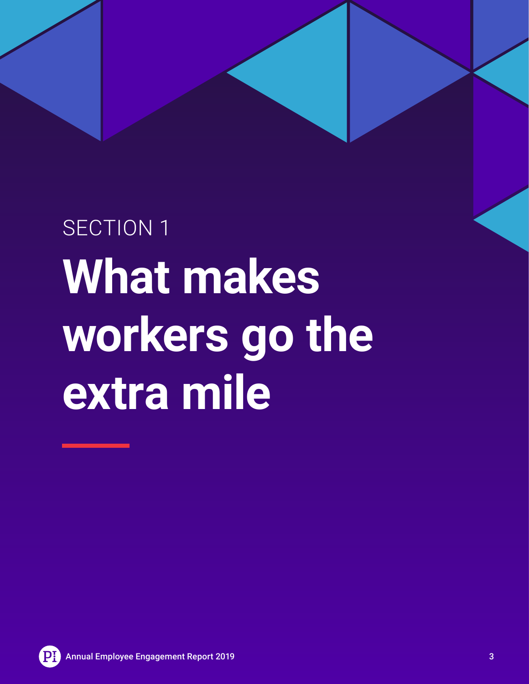# <span id="page-2-0"></span>SECTION 1 **What makes workers go the extra mile**

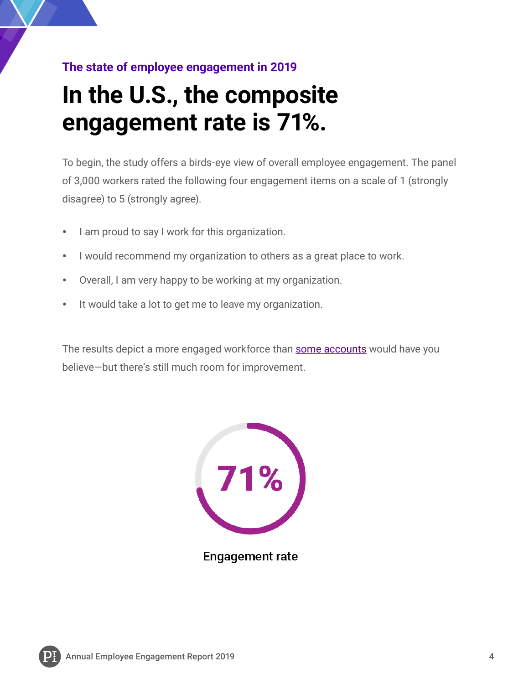#### **The state of employee engagement in 2019**

### **In the U.S., the composite engagement rate is 71%.**

To begin, the study offers a birds-eye view of overall employee engagement. The panel of 3,000 workers rated the following four engagement items on a scale of 1 (strongly disagree) to 5 (strongly agree).

- I am proud to say I work for this organization.
- I would recommend my organization to others as a great place to work.
- Overall, I am very happy to be working at my organization.
- It would take a lot to get me to leave my organization.

The results depict a more engaged workforce than [some accounts](https://www.gallup.com/workplace/231668/dismal-employee-engagement-sign-global-mismanagement.aspx) would have you believe—but there's still much room for improvement.



**Engagement rate**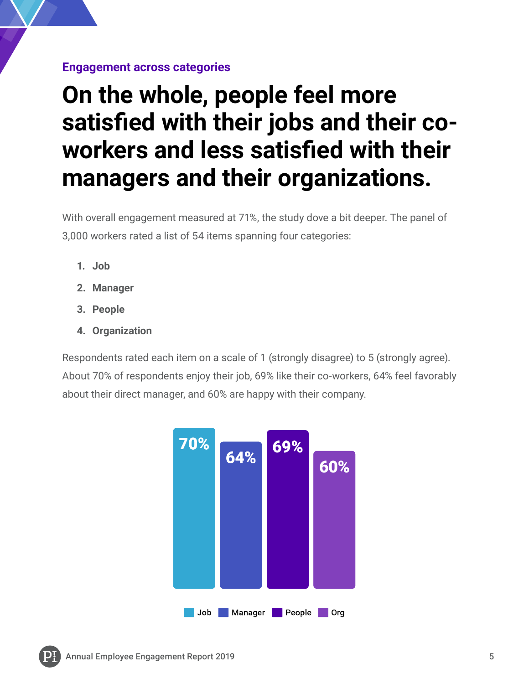#### **Engagement across categories**

### **On the whole, people feel more satisfied with their jobs and their coworkers and less satisfied with their managers and their organizations.**

With overall engagement measured at 71%, the study dove a bit deeper. The panel of 3,000 workers rated a list of 54 items spanning four categories:

- **1. Job**
- **2. Manager**
- **3. People**
- **4. Organization**

Respondents rated each item on a scale of 1 (strongly disagree) to 5 (strongly agree). About 70% of respondents enjoy their job, 69% like their co-workers, 64% feel favorably about their direct manager, and 60% are happy with their company.

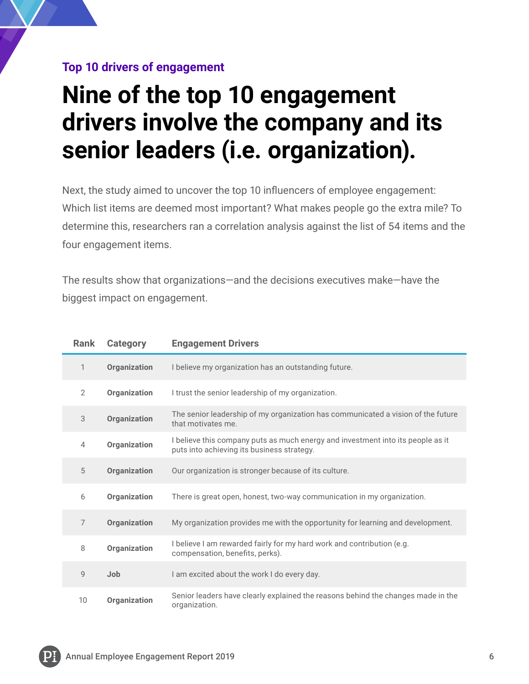#### **Top 10 drivers of engagement**

### **Nine of the top 10 engagement drivers involve the company and its senior leaders (i.e. organization).**

Next, the study aimed to uncover the top 10 influencers of employee engagement: Which list items are deemed most important? What makes people go the extra mile? To determine this, researchers ran a correlation analysis against the list of 54 items and the four engagement items.

The results show that organizations—and the decisions executives make—have the biggest impact on engagement.

| <b>Rank</b>    | <b>Category</b> | <b>Engagement Drivers</b>                                                                                                     |
|----------------|-----------------|-------------------------------------------------------------------------------------------------------------------------------|
| 1              | Organization    | I believe my organization has an outstanding future.                                                                          |
| $\overline{2}$ | Organization    | I trust the senior leadership of my organization.                                                                             |
| 3              | Organization    | The senior leadership of my organization has communicated a vision of the future<br>that motivates me.                        |
| $\overline{4}$ | Organization    | I believe this company puts as much energy and investment into its people as it<br>puts into achieving its business strategy. |
| 5              | Organization    | Our organization is stronger because of its culture.                                                                          |
| 6              | Organization    | There is great open, honest, two-way communication in my organization.                                                        |
| $\overline{7}$ | Organization    | My organization provides me with the opportunity for learning and development.                                                |
| 8              | Organization    | I believe I am rewarded fairly for my hard work and contribution (e.g.<br>compensation, benefits, perks).                     |
| 9              | Job             | I am excited about the work I do every day.                                                                                   |
| 10             | Organization    | Senior leaders have clearly explained the reasons behind the changes made in the<br>organization.                             |

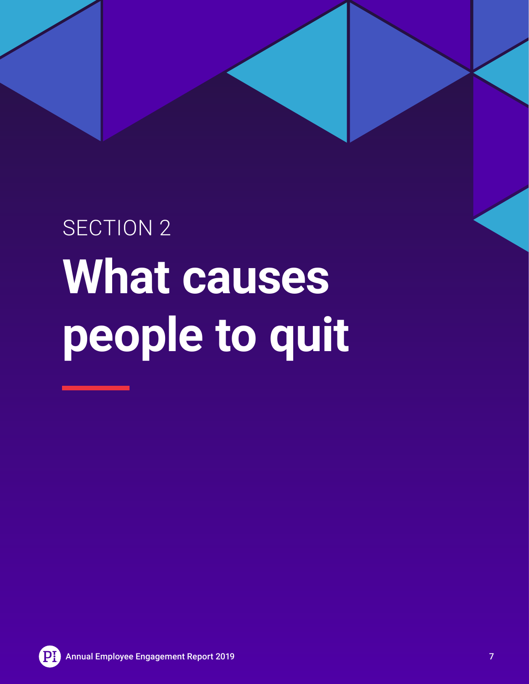## <span id="page-6-0"></span>SECTION 2 **What causes people to quit**

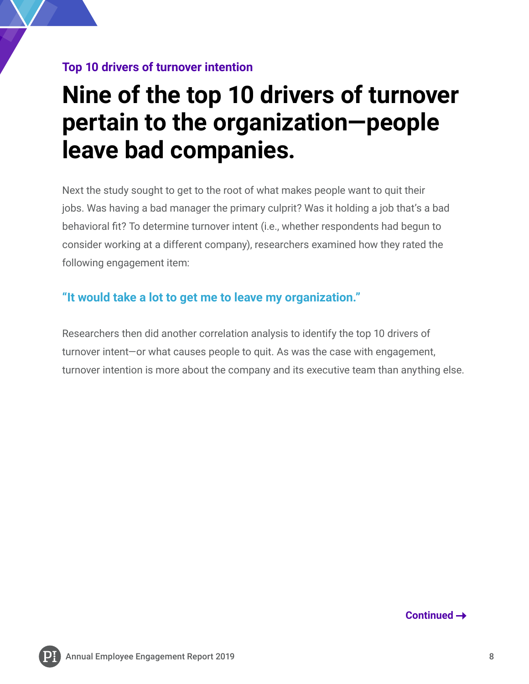#### **Top 10 drivers of turnover intention**

### **Nine of the top 10 drivers of turnover pertain to the organization—people leave bad companies.**

Next the study sought to get to the root of what makes people want to quit their jobs. Was having a bad manager the primary culprit? Was it holding a job that's a bad behavioral fit? To determine turnover intent (i.e., whether respondents had begun to consider working at a different company), researchers examined how they rated the following engagement item:

#### **"It would take a lot to get me to leave my organization."**

Researchers then did another correlation analysis to identify the top 10 drivers of turnover intent—or what causes people to quit. As was the case with engagement, turnover intention is more about the company and its executive team than anything else.

**Continued** 

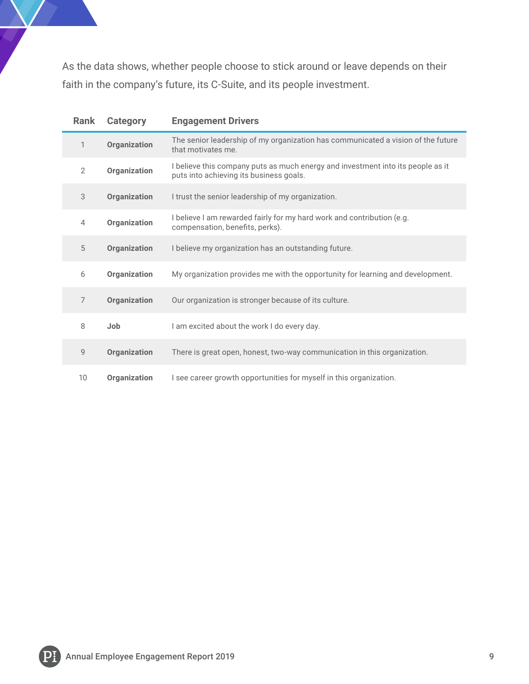As the data shows, whether people choose to stick around or leave depends on their faith in the company's future, its C-Suite, and its people investment.

| <b>Rank</b>    | <b>Category</b>     | <b>Engagement Drivers</b>                                                                                                  |
|----------------|---------------------|----------------------------------------------------------------------------------------------------------------------------|
| 1              | Organization        | The senior leadership of my organization has communicated a vision of the future<br>that motivates me.                     |
| $\overline{2}$ | <b>Organization</b> | I believe this company puts as much energy and investment into its people as it<br>puts into achieving its business goals. |
| 3              | Organization        | I trust the senior leadership of my organization.                                                                          |
| $\overline{4}$ | Organization        | I believe I am rewarded fairly for my hard work and contribution (e.g.<br>compensation, benefits, perks).                  |
| 5              | Organization        | I believe my organization has an outstanding future.                                                                       |
| 6              | Organization        | My organization provides me with the opportunity for learning and development.                                             |
| $\overline{7}$ | Organization        | Our organization is stronger because of its culture.                                                                       |
| 8              | Job                 | I am excited about the work I do every day.                                                                                |
| $\mathsf 9$    | Organization        | There is great open, honest, two-way communication in this organization.                                                   |
| 10             | Organization        | I see career growth opportunities for myself in this organization.                                                         |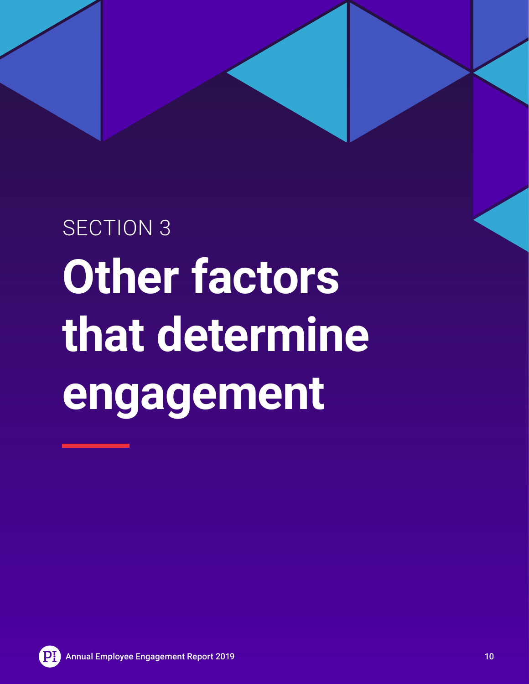# <span id="page-9-0"></span>SECTION 3 **Other factors that determine engagement**

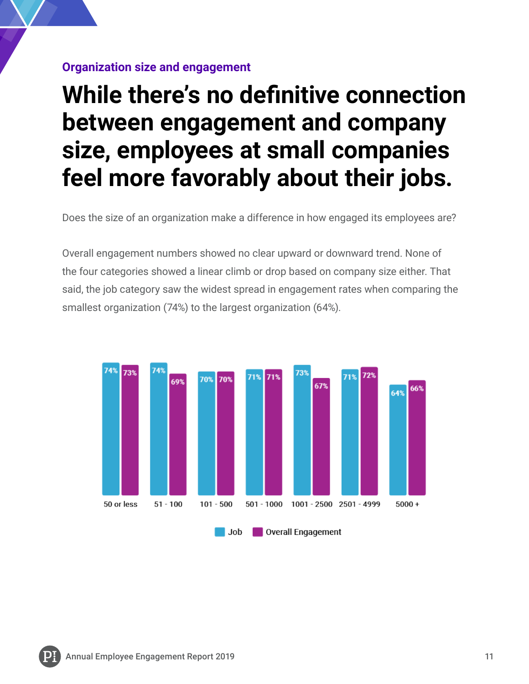#### **Organization size and engagement**

### **While there's no definitive connection between engagement and company size, employees at small companies feel more favorably about their jobs.**

Does the size of an organization make a difference in how engaged its employees are?

Overall engagement numbers showed no clear upward or downward trend. None of the four categories showed a linear climb or drop based on company size either. That said, the job category saw the widest spread in engagement rates when comparing the smallest organization (74%) to the largest organization (64%).

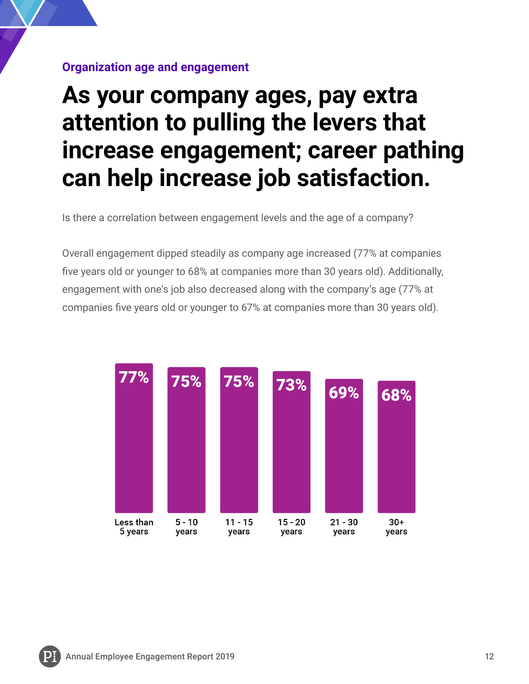#### **Organization age and engagement**

### **As your company ages, pay extra attention to pulling the levers that increase engagement; career pathing can help increase job satisfaction.**

Is there a correlation between engagement levels and the age of a company?

Overall engagement dipped steadily as company age increased (77% at companies five years old or younger to 68% at companies more than 30 years old). Additionally, engagement with one's job also decreased along with the company's age (77% at companies five years old or younger to 67% at companies more than 30 years old).

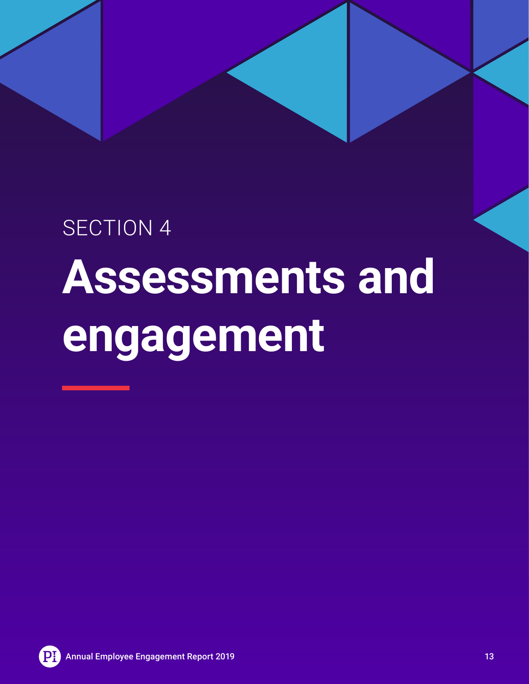## <span id="page-12-0"></span>SECTION 4 **Assessments and engagement**

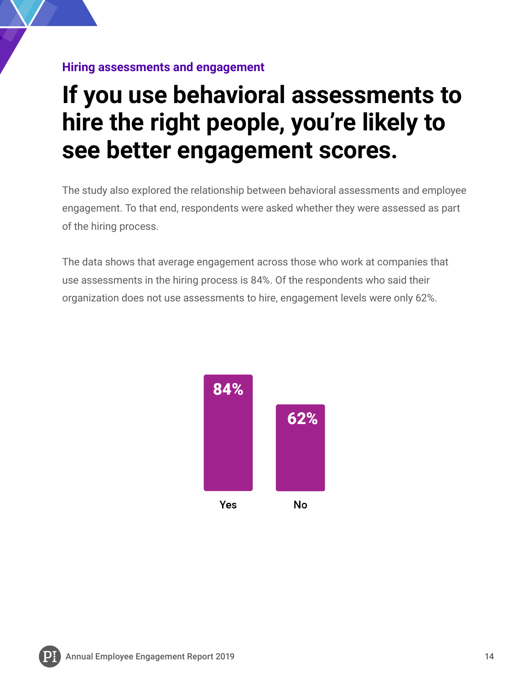#### **Hiring assessments and engagement**

### **If you use behavioral assessments to hire the right people, you're likely to see better engagement scores.**

The study also explored the relationship between behavioral assessments and employee engagement. To that end, respondents were asked whether they were assessed as part of the hiring process.

The data shows that average engagement across those who work at companies that use assessments in the hiring process is 84%. Of the respondents who said their organization does not use assessments to hire, engagement levels were only 62%.

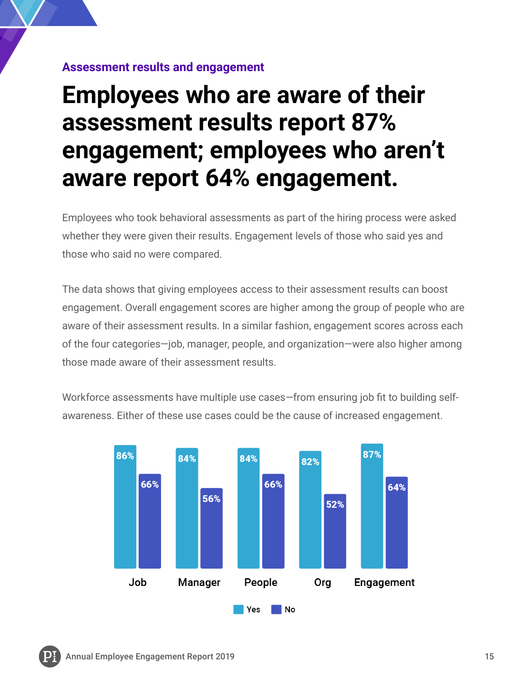#### **Assessment results and engagement**

### **Employees who are aware of their assessment results report 87% engagement; employees who aren't aware report 64% engagement.**

Employees who took behavioral assessments as part of the hiring process were asked whether they were given their results. Engagement levels of those who said yes and those who said no were compared.

The data shows that giving employees access to their assessment results can boost engagement. Overall engagement scores are higher among the group of people who are aware of their assessment results. In a similar fashion, engagement scores across each of the four categories—job, manager, people, and organization—were also higher among those made aware of their assessment results.

Workforce assessments have multiple use cases—from ensuring job fit to building selfawareness. Either of these use cases could be the cause of increased engagement.



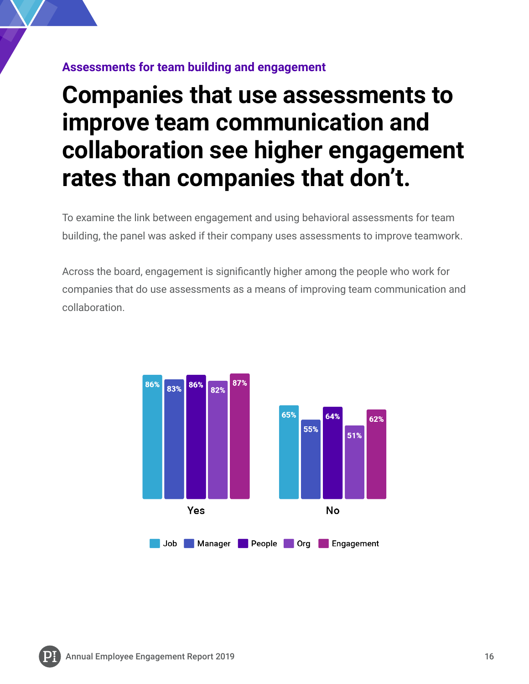#### **Assessments for team building and engagement**

### **Companies that use assessments to improve team communication and collaboration see higher engagement rates than companies that don't.**

To examine the link between engagement and using behavioral assessments for team building, the panel was asked if their company uses assessments to improve teamwork.

Across the board, engagement is significantly higher among the people who work for companies that do use assessments as a means of improving team communication and collaboration.

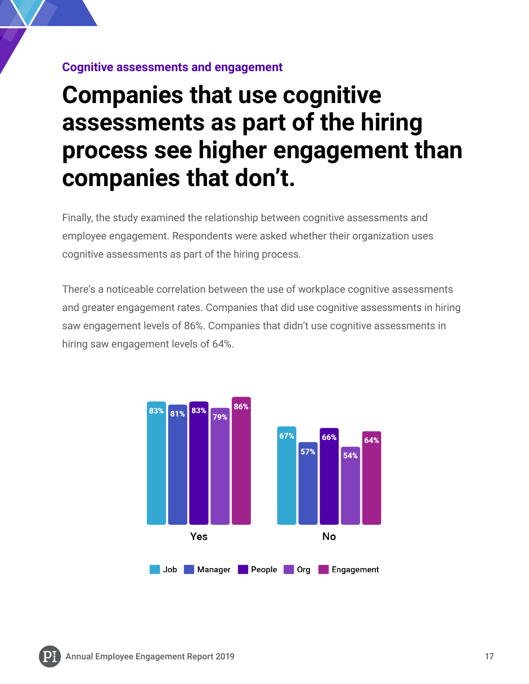#### **Cognitive assessments and engagement**

### **Companies that use cognitive assessments as part of the hiring process see higher engagement than companies that don't.**

Finally, the study examined the relationship between cognitive assessments and employee engagement. Respondents were asked whether their organization uses cognitive assessments as part of the hiring process.

There's a noticeable correlation between the use of workplace cognitive assessments and greater engagement rates. Companies that did use cognitive assessments in hiring saw engagement levels of 86%. Companies that didn't use cognitive assessments in hiring saw engagement levels of 64%.

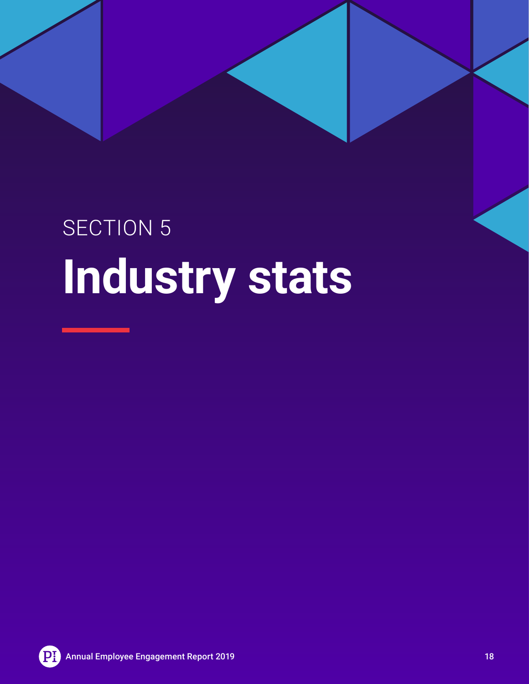## <span id="page-17-0"></span>SECTION 5 **Industry stats**

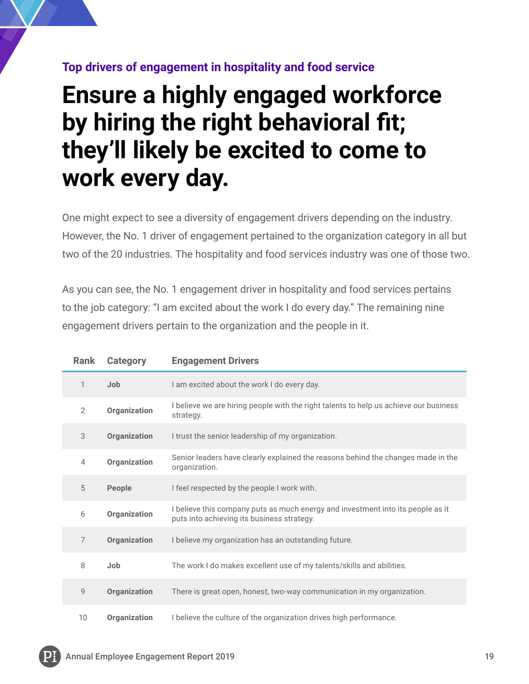#### **Top drivers of engagement in hospitality and food service**

### **Ensure a highly engaged workforce by hiring the right behavioral fit; they'll likely be excited to come to work every day.**

One might expect to see a diversity of engagement drivers depending on the industry. However, the No. 1 driver of engagement pertained to the organization category in all but two of the 20 industries. The hospitality and food services industry was one of those two.

As you can see, the No. 1 engagement driver in hospitality and food services pertains to the job category: "I am excited about the work I do every day." The remaining nine engagement drivers pertain to the organization and the people in it.

| Rank           | <b>Category</b>     | <b>Engagement Drivers</b>                                                                                                     |
|----------------|---------------------|-------------------------------------------------------------------------------------------------------------------------------|
| 1              | Job                 | I am excited about the work I do every day.                                                                                   |
| $\overline{2}$ | <b>Organization</b> | I believe we are hiring people with the right talents to help us achieve our business<br>strategy.                            |
| 3              | Organization        | I trust the senior leadership of my organization.                                                                             |
| $\overline{4}$ | Organization        | Senior leaders have clearly explained the reasons behind the changes made in the<br>organization.                             |
| 5              | People              | I feel respected by the people I work with.                                                                                   |
| 6              | <b>Organization</b> | I believe this company puts as much energy and investment into its people as it<br>puts into achieving its business strategy. |
| $\overline{7}$ | Organization        | I believe my organization has an outstanding future.                                                                          |
| 8              | Job                 | The work I do makes excellent use of my talents/skills and abilities.                                                         |
| 9              | Organization        | There is great open, honest, two-way communication in my organization.                                                        |
| 10             | <b>Organization</b> | I believe the culture of the organization drives high performance.                                                            |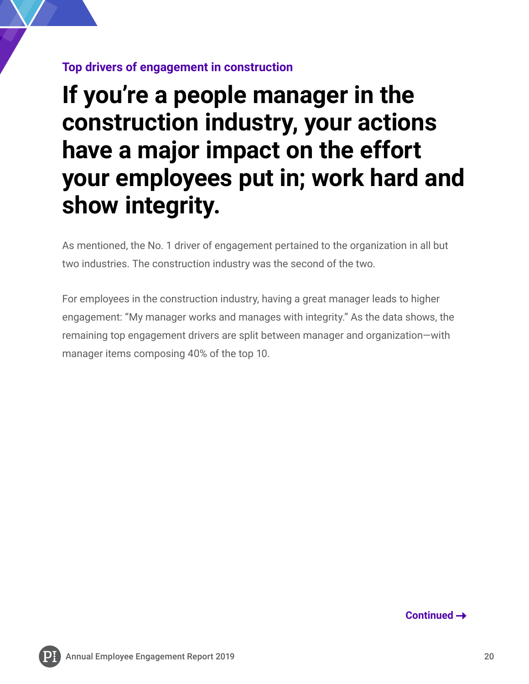#### **Top drivers of engagement in construction**

### **If you're a people manager in the construction industry, your actions have a major impact on the effort your employees put in; work hard and show integrity.**

As mentioned, the No. 1 driver of engagement pertained to the organization in all but two industries. The construction industry was the second of the two.

For employees in the construction industry, having a great manager leads to higher engagement: "My manager works and manages with integrity." As the data shows, the remaining top engagement drivers are split between manager and organization—with manager items composing 40% of the top 10.

**Continued**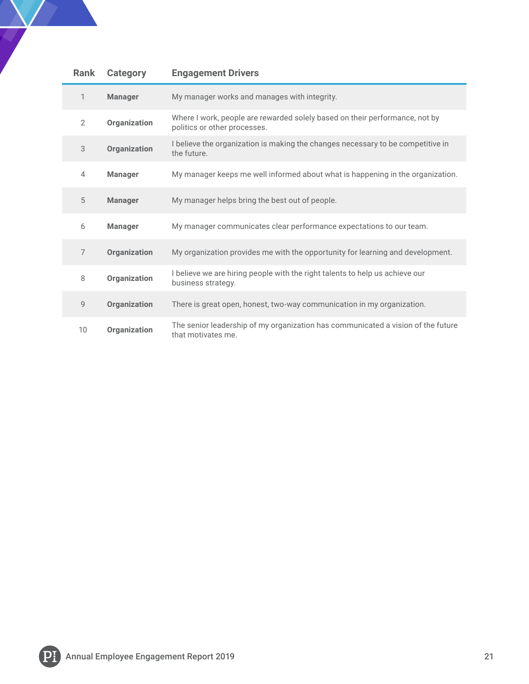| <b>Rank</b>    | <b>Category</b>     | <b>Engagement Drivers</b>                                                                                   |
|----------------|---------------------|-------------------------------------------------------------------------------------------------------------|
| 1              | <b>Manager</b>      | My manager works and manages with integrity.                                                                |
| $\mathbf{2}$   | Organization        | Where I work, people are rewarded solely based on their performance, not by<br>politics or other processes. |
| 3              | <b>Organization</b> | I believe the organization is making the changes necessary to be competitive in<br>the future.              |
| $\overline{4}$ | <b>Manager</b>      | My manager keeps me well informed about what is happening in the organization.                              |
| 5              | <b>Manager</b>      | My manager helps bring the best out of people.                                                              |
| 6              | <b>Manager</b>      | My manager communicates clear performance expectations to our team.                                         |
| $\overline{7}$ | Organization        | My organization provides me with the opportunity for learning and development.                              |
| 8              | Organization        | I believe we are hiring people with the right talents to help us achieve our<br>business strategy.          |
| $\mathsf g$    | Organization        | There is great open, honest, two-way communication in my organization.                                      |
| 10             | Organization        | The senior leadership of my organization has communicated a vision of the future<br>that motivates me.      |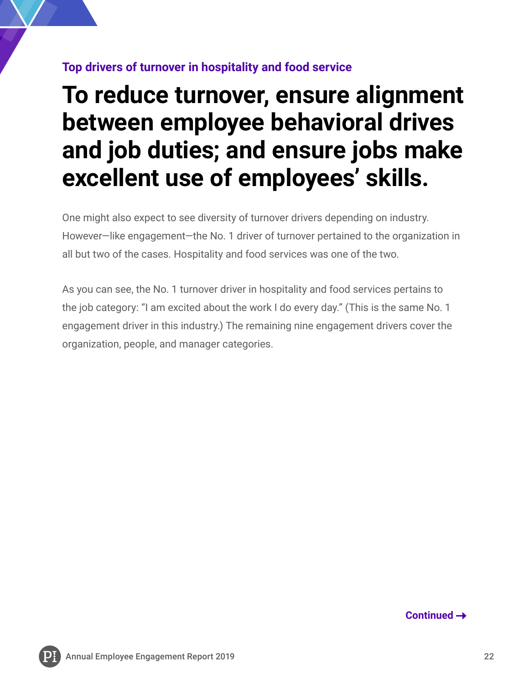#### **Top drivers of turnover in hospitality and food service**

### **To reduce turnover, ensure alignment between employee behavioral drives and job duties; and ensure jobs make excellent use of employees' skills.**

One might also expect to see diversity of turnover drivers depending on industry. However—like engagement—the No. 1 driver of turnover pertained to the organization in all but two of the cases. Hospitality and food services was one of the two.

As you can see, the No. 1 turnover driver in hospitality and food services pertains to the job category: "I am excited about the work I do every day." (This is the same No. 1 engagement driver in this industry.) The remaining nine engagement drivers cover the organization, people, and manager categories.

**Continued** 

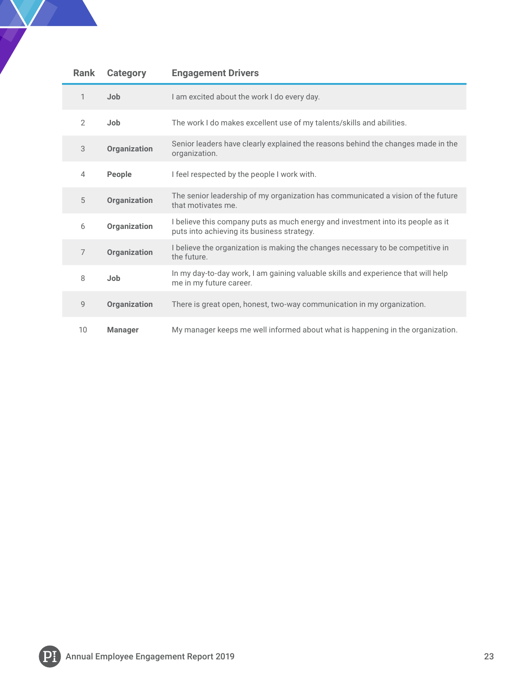| <b>Rank</b>    | <b>Category</b>     | <b>Engagement Drivers</b>                                                                                                     |
|----------------|---------------------|-------------------------------------------------------------------------------------------------------------------------------|
| 1              | Job                 | I am excited about the work I do every day.                                                                                   |
| $\overline{2}$ | Job                 | The work I do makes excellent use of my talents/skills and abilities.                                                         |
| 3              | <b>Organization</b> | Senior leaders have clearly explained the reasons behind the changes made in the<br>organization.                             |
| $\overline{4}$ | People              | I feel respected by the people I work with.                                                                                   |
| $\sqrt{5}$     | Organization        | The senior leadership of my organization has communicated a vision of the future<br>that motivates me.                        |
| 6              | Organization        | I believe this company puts as much energy and investment into its people as it<br>puts into achieving its business strategy. |
| $\overline{7}$ | <b>Organization</b> | I believe the organization is making the changes necessary to be competitive in<br>the future.                                |
| 8              | <b>Job</b>          | In my day-to-day work, I am gaining valuable skills and experience that will help<br>me in my future career.                  |
| 9              | Organization        | There is great open, honest, two-way communication in my organization.                                                        |
| 10             | <b>Manager</b>      | My manager keeps me well informed about what is happening in the organization.                                                |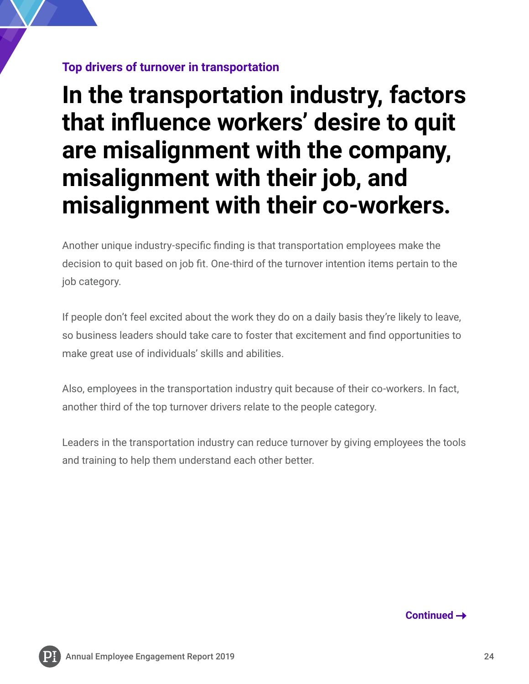#### **Top drivers of turnover in transportation**

### **In the transportation industry, factors that influence workers' desire to quit are misalignment with the company, misalignment with their job, and misalignment with their co-workers.**

Another unique industry-specific finding is that transportation employees make the decision to quit based on job fit. One-third of the turnover intention items pertain to the job category.

If people don't feel excited about the work they do on a daily basis they're likely to leave, so business leaders should take care to foster that excitement and find opportunities to make great use of individuals' skills and abilities.

Also, employees in the transportation industry quit because of their co-workers. In fact, another third of the top turnover drivers relate to the people category.

Leaders in the transportation industry can reduce turnover by giving employees the tools and training to help them understand each other better.

**Continued** 

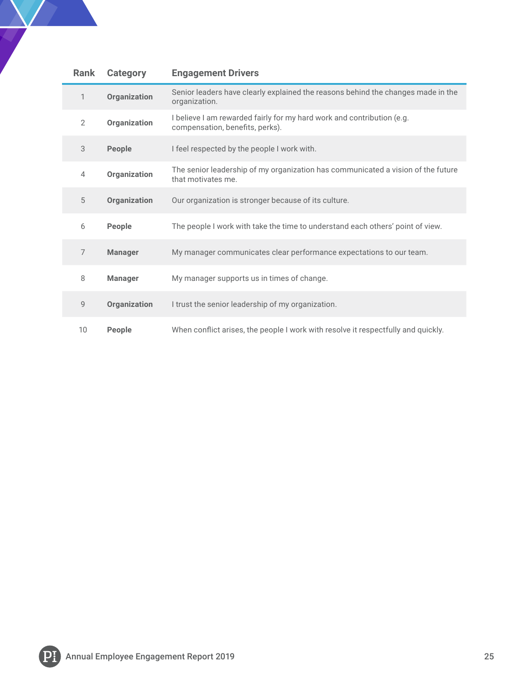| <b>Rank</b>    | <b>Category</b>     | <b>Engagement Drivers</b>                                                                                 |
|----------------|---------------------|-----------------------------------------------------------------------------------------------------------|
| 1              | <b>Organization</b> | Senior leaders have clearly explained the reasons behind the changes made in the<br>organization.         |
| $\overline{2}$ | <b>Organization</b> | I believe I am rewarded fairly for my hard work and contribution (e.g.<br>compensation, benefits, perks). |
| 3              | People              | I feel respected by the people I work with.                                                               |
| $\overline{4}$ | Organization        | The senior leadership of my organization has communicated a vision of the future<br>that motivates me.    |
| $\sqrt{5}$     | Organization        | Our organization is stronger because of its culture.                                                      |
| 6              | People              | The people I work with take the time to understand each others' point of view.                            |
| $\overline{7}$ | <b>Manager</b>      | My manager communicates clear performance expectations to our team.                                       |
| 8              | <b>Manager</b>      | My manager supports us in times of change.                                                                |
| 9              | <b>Organization</b> | I trust the senior leadership of my organization.                                                         |
| 10             | People              | When conflict arises, the people I work with resolve it respectfully and quickly.                         |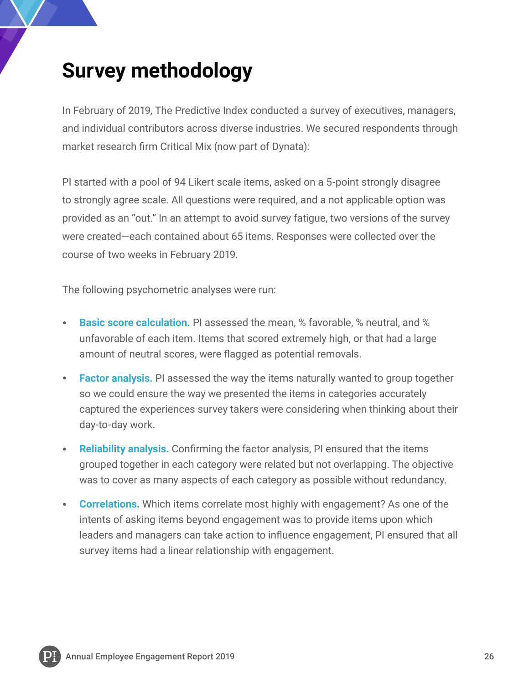### **Survey methodology**

In February of 2019, The Predictive Index conducted a survey of executives, managers, and individual contributors across diverse industries. We secured respondents through market research firm Critical Mix (now part of Dynata):

PI started with a pool of 94 Likert scale items, asked on a 5-point strongly disagree to strongly agree scale. All questions were required, and a not applicable option was provided as an "out." In an attempt to avoid survey fatigue, two versions of the survey were created—each contained about 65 items. Responses were collected over the course of two weeks in February 2019.

The following psychometric analyses were run:

- **Basic score calculation.** PI assessed the mean, % favorable, % neutral, and % unfavorable of each item. Items that scored extremely high, or that had a large amount of neutral scores, were flagged as potential removals.
- **Factor analysis.** PI assessed the way the items naturally wanted to group together so we could ensure the way we presented the items in categories accurately captured the experiences survey takers were considering when thinking about their day-to-day work.
- **Reliability analysis.** Confirming the factor analysis, PI ensured that the items grouped together in each category were related but not overlapping. The objective was to cover as many aspects of each category as possible without redundancy.
- **Correlations.** Which items correlate most highly with engagement? As one of the intents of asking items beyond engagement was to provide items upon which leaders and managers can take action to influence engagement, PI ensured that all survey items had a linear relationship with engagement.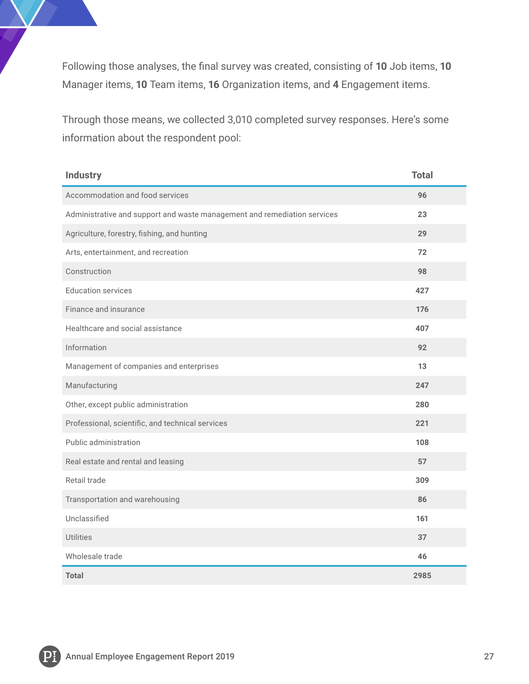Following those analyses, the final survey was created, consisting of **10** Job items, **10** Manager items, **10** Team items, **16** Organization items, and **4** Engagement items.

Through those means, we collected 3,010 completed survey responses. Here's some information about the respondent pool:

| <b>Industry</b>                                                          | <b>Total</b> |
|--------------------------------------------------------------------------|--------------|
| Accommodation and food services                                          | 96           |
| Administrative and support and waste management and remediation services | 23           |
| Agriculture, forestry, fishing, and hunting                              | 29           |
| Arts, entertainment, and recreation                                      | 72           |
| Construction                                                             | 98           |
| <b>Education services</b>                                                | 427          |
| Finance and insurance                                                    | 176          |
| Healthcare and social assistance                                         | 407          |
| Information                                                              | 92           |
| Management of companies and enterprises                                  | 13           |
| Manufacturing                                                            | 247          |
| Other, except public administration                                      | 280          |
| Professional, scientific, and technical services                         | 221          |
| Public administration                                                    | 108          |
| Real estate and rental and leasing                                       | 57           |
| Retail trade                                                             | 309          |
| Transportation and warehousing                                           | 86           |
| Unclassified                                                             | 161          |
| <b>Utilities</b>                                                         | 37           |
| Wholesale trade                                                          | 46           |
| <b>Total</b>                                                             | 2985         |